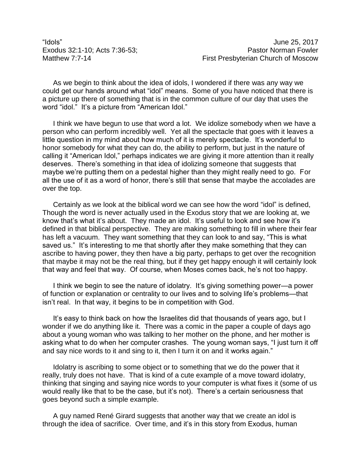"Idols" June 25, 2017

As we begin to think about the idea of idols, I wondered if there was any way we could get our hands around what "idol" means. Some of you have noticed that there is a picture up there of something that is in the common culture of our day that uses the word "idol." It's a picture from "American Idol."

I think we have begun to use that word a lot. We idolize somebody when we have a person who can perform incredibly well. Yet all the spectacle that goes with it leaves a little question in my mind about how much of it is merely spectacle. It's wonderful to honor somebody for what they can do, the ability to perform, but just in the nature of calling it "American Idol," perhaps indicates we are giving it more attention than it really deserves. There's something in that idea of idolizing someone that suggests that maybe we're putting them on a pedestal higher than they might really need to go. For all the use of it as a word of honor, there's still that sense that maybe the accolades are over the top.

Certainly as we look at the biblical word we can see how the word "idol" is defined, Though the word is never actually used in the Exodus story that we are looking at, we know that's what it's about. They made an idol. It's useful to look and see how it's defined in that biblical perspective. They are making something to fill in where their fear has left a vacuum. They want something that they can look to and say, "This is what saved us." It's interesting to me that shortly after they make something that they can ascribe to having power, they then have a big party, perhaps to get over the recognition that maybe it may not be the real thing, but if they get happy enough it will certainly look that way and feel that way. Of course, when Moses comes back, he's not too happy.

I think we begin to see the nature of idolatry. It's giving something power—a power of function or explanation or centrality to our lives and to solving life's problems—that isn't real. In that way, it begins to be in competition with God.

It's easy to think back on how the Israelites did that thousands of years ago, but I wonder if we do anything like it. There was a comic in the paper a couple of days ago about a young woman who was talking to her mother on the phone, and her mother is asking what to do when her computer crashes. The young woman says, "I just turn it off and say nice words to it and sing to it, then I turn it on and it works again."

Idolatry is ascribing to some object or to something that we do the power that it really, truly does not have. That is kind of a cute example of a move toward idolatry, thinking that singing and saying nice words to your computer is what fixes it (some of us would really like that to be the case, but it's not). There's a certain seriousness that goes beyond such a simple example.

A guy named René Girard suggests that another way that we create an idol is through the idea of sacrifice. Over time, and it's in this story from Exodus, human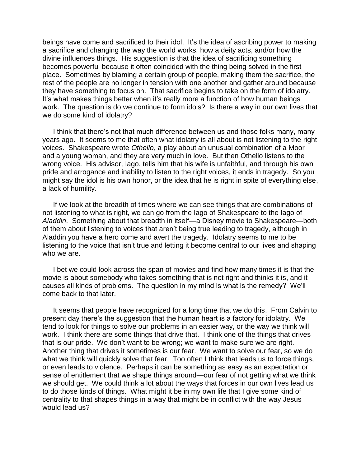beings have come and sacrificed to their idol. It's the idea of ascribing power to making a sacrifice and changing the way the world works, how a deity acts, and/or how the divine influences things. His suggestion is that the idea of sacrificing something becomes powerful because it often coincided with the thing being solved in the first place. Sometimes by blaming a certain group of people, making them the sacrifice, the rest of the people are no longer in tension with one another and gather around because they have something to focus on. That sacrifice begins to take on the form of idolatry. It's what makes things better when it's really more a function of how human beings work. The question is do we continue to form idols? Is there a way in our own lives that we do some kind of idolatry?

I think that there's not that much difference between us and those folks many, many years ago. It seems to me that often what idolatry is all about is not listening to the right voices. Shakespeare wrote *Othello*, a play about an unusual combination of a Moor and a young woman, and they are very much in love. But then Othello listens to the wrong voice. His advisor, Iago, tells him that his wife is unfaithful, and through his own pride and arrogance and inability to listen to the right voices, it ends in tragedy. So you might say the idol is his own honor, or the idea that he is right in spite of everything else, a lack of humility.

If we look at the breadth of times where we can see things that are combinations of not listening to what is right, we can go from the Iago of Shakespeare to the Iago of *Aladdin*. Something about that breadth in itself—a Disney movie to Shakespeare—both of them about listening to voices that aren't being true leading to tragedy, although in Aladdin you have a hero come and avert the tragedy. Idolatry seems to me to be listening to the voice that isn't true and letting it become central to our lives and shaping who we are.

I bet we could look across the span of movies and find how many times it is that the movie is about somebody who takes something that is not right and thinks it is, and it causes all kinds of problems. The question in my mind is what is the remedy? We'll come back to that later.

It seems that people have recognized for a long time that we do this. From Calvin to present day there's the suggestion that the human heart is a factory for idolatry. We tend to look for things to solve our problems in an easier way, or the way we think will work. I think there are some things that drive that. I think one of the things that drives that is our pride. We don't want to be wrong; we want to make sure we are right. Another thing that drives it sometimes is our fear. We want to solve our fear, so we do what we think will quickly solve that fear. Too often I think that leads us to force things, or even leads to violence. Perhaps it can be something as easy as an expectation or sense of entitlement that we shape things around—our fear of not getting what we think we should get. We could think a lot about the ways that forces in our own lives lead us to do those kinds of things. What might it be in my own life that I give some kind of centrality to that shapes things in a way that might be in conflict with the way Jesus would lead us?